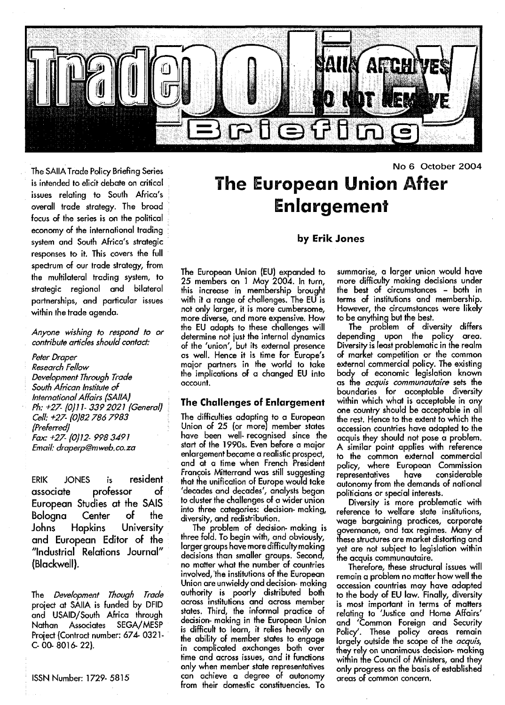

The SAIIA Trade Policy Briefing Series is intended to elicit debate on critical issues relating to South Africa's overall trade strategy. The broad focus of the series is on the political economy of the international trading system and South Africa's strategic responses to it. This covers the full spectrum of our trade strategy, from the multilateral trading system, to strategic regional and bilateral partnerships, and particular issues within the trade agenda.

An/one wishing to respond to or contribute articles should contact:

Peter Draper Research Fellow Development Through Trade South African Institute of international Affairs (SAIIA) Ph: +27- (0)11- 3392021 (General) Cell: +27- (0)82 786 7983 (Preferred) Fax: +27- (0)12- 9983491 Email: draperp@mweb,co.za

ERIK JONES is resident associate professor of European Studies at the SAIS Bologna Center of the Johns Hopkins University and European Editor of the "Industrial Relations Journal" (Blackwell).

The Development Though Trade project at SAIIA is funded by DFID and USAID/South Africa through Nathan Associates SEGA/MESP Project {Contract number: 674- 0321- C-00-8016-22).

ISSN Number: 1729-5815

# **The European Union After Enlargement**

#### **by Erik Jones**

The European Union (EU) expanded to 25 members on 1 May 2004. In turn, this increase in membership brought with it a range of challenges. The EU is not only larger, it is more cumbersome, more diverse, and more expensive. How the EU adapts to these challenges will determine not just the internal dynamics of the 'union', but its external presence as well. Hence it is time for Europe's major partners in the world to take the implications of a changed EU into account.

#### **The Challenges of Enlargement**

The difficulties adapting to a European Union of 25 (or more) member states have been well- recognised since the start of the 1990s. Even before a major enlargement became a realistic prospect, and at a time when French President Francois Mitterrand was still suggesting that the unification of Europe would take 'decades and decades', analysts began to cluster the challenges of a wider union into three categories: decision- making, diversity, and redistribution.

The problem of decision- making is three fold. To begin with, and obviously, larger groups have more difficulty making decisions than smaller groups. Second, no matter what the number of countries involved, the institutions of the European Union are unwieldy and decision- making authority is poorly distributed both across institutions and across member states. Third, the informal practice of decision- making in the European Union is difficult to learn, it relies heavily on the ability of member states to engage in complicated exchanges both over time and across issues, and it functions only when member state representatives can achieve a degree of autonomy from their domestic constituencies. To

summarise, a larger union would have more difficulty making decisions under the best of circumstances - both in terms of institutions and membership. However, the circumstances were likely to be anything but the best.

No 6 October 2004

The problem of diversity differs depending upon the policy area. Diversity is least problematic in the realm of market competition or the common external commercial policy. The existing body of economic legislation known as the *acquis communautaire* sets the boundaries for acceptable diversity within which what is acceptable in any one country should be acceptable in all the rest. Hence to the extent to which the accession countries have adapted to the acquis they should not pose a problem. A similar point applies with reference to the common external commercial policy, where European Commission representatives have considerable representatives have considerable<br>autonomy\_from\_the\_demands\_of\_national politicians or special interests.

Diversity is more problematic with reference to welfare state institutions, wage bargaining practices, corporate governance, and tax regimes. Many of these structures are market distorting and yet are not subject to legislation within the acquis communautaire.

Therefore, these structural issues will remain a problem no matter how well the accession countries may have adapted to the body of EU law. Finally, diversity is most important in terms of matters relating to 'Justice and Home Affairs' and 'Common Foreign and Security Policy'. These policy areas remain largely outside the scope of the *acquis*, they rely on unanimous decision- making within the Council of Ministers, and they only progress on the basis of established areas of common concern.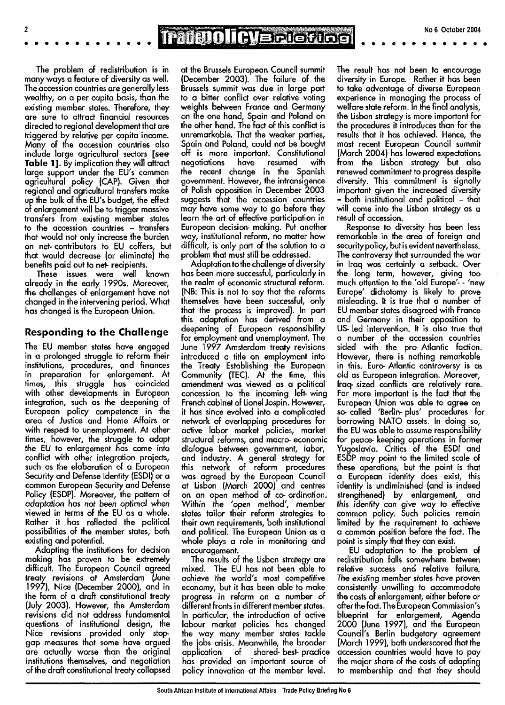## TradenolicVarite Gibel

The problem of redistribution is in many ways a feature of diversity as well. The accession countries are generally less wealthy, on a per capita basis, than the existing member states. Therefore, they are sure to attract financial resources directed to regional development that are triggered by relative per capita income. Many of the accession countries also include large agricultural sectors [see Table 1]. By implication they will attract large support under the EU's common agricultural policy (CAP). Given that regional and agricultural transfers make up the bulk of tne EU's budget, the effect of enlargement will be to trigger massive transfers from existing member states to the accession countries - transfers that would not only increase the burden on net- contributors to EU coffers, but that would decrease (or eliminate) the benefits paid out to net- recipients.

 $\overline{2}$ 

These issues were well known already in the early 1990s. Moreover, the challenges of enlargement have not changed in the intervening period. What has changed is the European Union.

#### Responding to the Challenge

The EU member states have engaged in a prolonged struggle to reform their institutions, procedures, and finances in preparation for enlargement. At times, this struggle has coincided with other developments in European integration, such as the deepening of European policy competence in the area of Justice and Home Affairs or with respect to unemployment. At other times, however, the struggle to adapt the EU fo enlargement has come into conflict with other integration projects, such as the elaboration of a European Security and Defense Identity (ESDI) or a common European Security and Defense Policy (ESDP). Moreover, the pattern of adaptation has not been optimal when viewed in terms of the EU as a whole. Rather it has reflected the political possibilities of the member states, both existing and potential.

Adapting the institutions for decision making has proven to be extremely difficult. The European Council agreed treaty revisions at Amsterdam (June 1997), Nice (December 2000), and in the form of a draft constitutional treaty (July 2003). However, the Amsterdam revisions did not address fundamental questions of institutional design, the Nice revisions provided only stopgap measures that some have argued are actually worse than the original institutions themselves, and negotiation of the draft constitutional treaty collapsed

at the Brussels European Council summit (December 2003). The failure of the Brussels summit was due in large part to a bitter conflict over relative voting weights between France and Germany on the one hand, Spain and Poland on the other hand. The fact of this conflict is unremarkable. That the weaker parties, Spain and Poland, could not be bought off is more important. Constitutional negotiations have resumed with the recent change in the Spanish government. However, the intransigence of Polish opposition in December 2003 suggests that the accession countries may have some way to go before they learn the art of effective participation in European decision- making. Put another way, institutional reform, no matter how difficult, is only part of the solution to a problem that must still be addressed.

Adaptation to the challenge of diversity has been more successful, particularly in the realm of economic structural reform. (NB: This is not to say that the reforms themselves have been successful, only that the process is improved). In part this adaptation has derived from a deepening of European responsibility for employment and unemployment. The June 1997 Amsterdam treaty revisions introduced a title on employment into the Treaty Establishing the European Community (TEC). At the time, this amendment was viewed as a political concession to the incoming left- wing French cabinet of Lionel Jospin. However, it has since evolved into a complicated network of overlapping procedures for active labor market policies, market structural reforms, and macro- economic dialogue between government, labor, and industry. A general strategy for this network of reform procedures was agreed by the European Council at Lisbon (March 2000) and centres on an open method of co- ordination. Within tne 'open method', member states tailor their reform strategies to their own requirements, both institutional and political. The European Union as a whole plays a role in monitoring and encouragement.

The results of the Lisbon strategy are mixed. The EU has not been able to achieve the world's most competitive economy, but it has been able to make progress in reform on a number of different fronts in different member states. In particular, the introduction of active labour market policies has changed the way many member states tackle the jobs crisis. Meanwhile, the broader application of shared- best- practice has provided an important source of policy innovation at the member level.

The result has not been to encourage diversity in Europe. Rather it has been to take advantage of diverse European experience in managing the process of welfare state reform. In the final analysis, the Lisbon strategy is more important for the procedures it introduces than for the results that it has achieved. Hence, the most recent European Council summit (March 2004) has lowered expectations from the Lisbon strategy but also renewed commitment to progress despite diversity. This commitment is signally important given the increased diversity - both institutional and political - that will come into the Lisbon strategy as a result of accession.

Response to diversity has been less remarkable in the area of foreign and security policy, but is evident nevertheless. The controversy that surrounded the war in Iraq was certainly a setback. Over the long term, however, giving too much attention to the 'old Europe'- - 'new Europe' dichotomy is likely to prove misleading. It is true that a number of EU member states disagreed with France and Germany in their opposition to US led intervention. It is also true that a number of the accession countries sided with the pro- Atlantic faction. However, there is nothing remarkable in this. Euro- Atlantic controversy is as old as European integration. Moreover, Iraq- sized conflicts are relatively rare. Far more important is the fact that the European Union was able to agree on so- called 'Berlin- plus' procedures for borrowing NATO assets. In doing so, the EU was able to assume responsibility for peace- keeping operations in former Yugoslavia. Critics of the ESDI and ESDP may point to the limited scale of these operations, but the point is that a European identity does exist, this identity is undiminished (and is indeed strengthened) by enlargement, and this identity can qive way to effective mo rugamy cum give way to encenve common poncy, occur poncies remain limited by the requirement to achieve<br>a common position before the fact. The point is simply that they can exist.

EU adaptation to the problem of redistribution falls somewhere between relative success and relative failure. The existing member states have proven consistently unwilling to accommodate the costs of enlargement, either before or after the fact. The European Commission's blueprint for enlargement, Agenda 2000 (June 1997), and the European Council's Berlin budgetary agreement (March 1999), both underscored that the accession countries would have to pay the major share of the costs of adapting to membership and that they should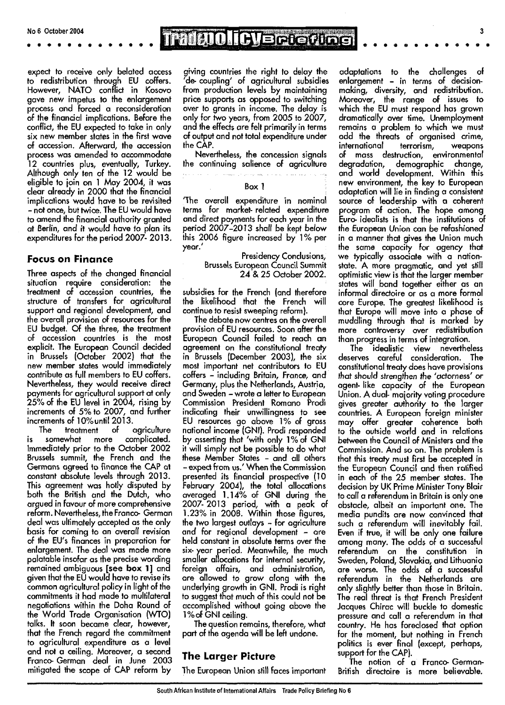TradatolicyBriefing

expect to receive only belated access to redistribution through EU coffers. However, NATO conflict in Kosovo gave new impetus to the enlargement process and forced a reconsideration of the financial implications. Before the conflict, the EU expected to take in only six new member states in the first wave of accession. Afterward, the accession process was amended to accommodate 12 countries plus, eventually, Turkey. Although only ten of the 12 would be eligible to join on 1 May 2004, it was clear already in 2000 that the financial implications would have to be revisited - not once, but twice. The EU would have to amend the financial authority granted at Berlin, and it would have to plan its expenditures for the period 2007- 2013.

### **Focus on Finance**

Three aspects of the changed financial situation require consideration: the treatment of accession countries, the structure of transfers for agricultural support and regional development, and the overall provision of resources for the EU budget. Of the three, the treatment of accession countries is the most explicit. The European Council decided in Brussels (October 2002) that the new member states would immediately contribute as full members to EU coffers. Nevertheless, they would receive direct payments for agricultural support at only 25% of the EU level in 2004, rising by increments of 5% to 2007, and further increments of 10%until 2013.

The treatment of agriculture is somewhat more complicated. Immediately prior to the October 2002 Brussels summit, the French and the Germans agreed to finance the CAP at constant absolute levels through 2013. This agreement was hotly disputed by both the British and the Dutch, who argued in favour of more comprehensive reform. Nevertheless, the Franco- German deal was ultimately accepted as the only basis for coming to an overall revision of the EU's finances in preparation for enlargement. The deal was made more palatable insofar as the precise wording remained ambiguous [see **box** 1] and given that the EU would have to revise its common agricultural policy in light of the commitments it had made to multilateral negotiations within the Doha Round of the World Trade Organisation (WTO) talks. It soon became clear, however, that the French regard the commitment to agricultural expenditure as a level and not a ceiling. Moreover, a second Franco- German deal in June 2003 mitigated the scope of CAP reform by

giving countries the right to delay the 'de- coupling' of agricultural subsidies from production levels by maintaining price supports as opposed to switching over to grants in income. The delay is only for two years, from 2005 to 2007, and the effects are felt primarily in terms of output and not total expenditure under the CAP.

Nevertheless, the concession signals the continuing salience of agriculture

#### Box 1

<u> 1966 - Andreas Albert Albert III (f. 19</u>

 $\hat{z}_\mathrm{max}$  .

The overall expenditure in nominal terms for market- related expenditure and direct payments for each year in the period 2007-2013 shall be kept below this 2006 figure increased by 1 % per year.'

Presidency Conclusions, Brussels European Council Summit 24 & 25 October 2002.

subsidies for the French (and therefore the likelihood that the French continue to resist sweeping reform).

The debate now centres on the overall provision of EU resources. Soon after the European Council failed to reach an agreement on the constitutional treaty in Brussels (December 2003), the six most important net contributors to EU coffers - including Britain, France, and Germany, plus the Netherlands, Austria, and Sweden - wrote a letter to European Commission President Romano Prodi indicating their unwillingness to see EU resources go above 1% of gross national income (GNI). Prodi responded by asserting that 'with only l%of GNI it will simply not be possible to do what these Member States - and all others - expect from us/ When the Commission presented its financial prospective (10 February 2004), the total allocations averaged **1,14%** of GNI during the 2007-2013 period, with a peak of 1.23% in 2008. Within those figures, the two largest outlays - for agriculture and for regional development – are held constant in absolute terms over the six- year period. Meanwhile, the much smaller allocations for internal security, <u>foreign affairs</u>, and administration are allowed to grow along with the underlying growth in GNI. Prodi is right to suggest that much of this could not be accomplished without going above the accomplished without going above the<br>1%of GNI ceiling.

The question remains, therefore, what part of the agenda will be left undone.

### **The Larger Picture**

The European Union still faces important

adaptations to the challenges of enlargement - in terms of decisionmaking, diversity, and redistribution. Moreover, the range of issues to which the EU must respond has grown dramatically over time. Unemployment remains a problem to which we must add the threats of organised crime, international terrorism, weapons of mass destruction, environmental degradation, demographic change, and world development. Within this new environment, the key to European adaptation will lie in finding a consistent source of leadership with a coherent program of action. The hope among Euro- idealists is that the institutions of the European Union can be refashioned in a manner that gives the Union much the same capacity for agency that we typically associate with a nationstate. A more pragmatic, and yet still optimistic view is that the larger member states will band together either as an informal directoire or as a more formal core Europe. The greatest likelihood is that Europe will move into a phase of muddling through that is marked by more controversy over redistribution than progress in terms of integration.

The idealistic view nevertheless deserves careful consideration. The constitutional treaty does have provisions that should strengthen the 'actorness' or agent- like capacity of the European Union. A dual- majority voting procedure gives greater authority to the larger countries. A European foreign minister may offer greater coherence both to the outside world and in relations between the Council of Ministers and the Commission. And so on. The problem is that this treaty must first be accepted in the European Council and then ratified in each of the 25 member states. The decision by UK Prime Minister Tony Blair to call a referendum in Britain is only one obstacle, albeit an important one. The media pundits are now convinced that such a referendum will inevitably fail. Even if true, it will be only one failure among many. The odds of a successful referendum on the constitution in Sweden, Poland, Slovakia, and Lithuania are worse. The odds of a successful referendum in the Netherlands are only slightly better than those in Britain. The real threat is that French President Jacques Chirac will buckle to domestic pressure and call a referendum in that country. He has foreclosed that option for the moment, but nothing in French politics invitent, politiciting in French points is ever infur<br>support for the CAP).

The notion of a Franco- German-British directoire is more believable.